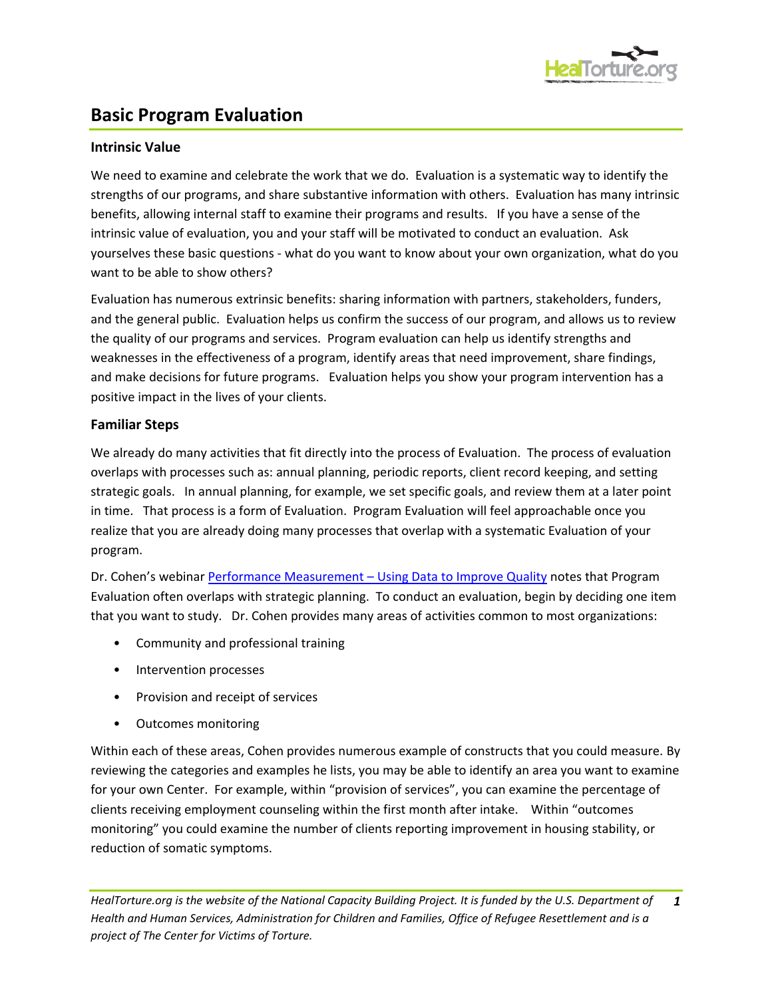

# **Basic Program Evaluation**

## **Intrinsic Value**

We need to examine and celebrate the work that we do. Evaluation is a systematic way to identify the strengths of our programs, and share substantive information with others. Evaluation has many intrinsic benefits, allowing internal staff to examine their programs and results. If you have a sense of the intrinsic value of evaluation, you and your staff will be motivated to conduct an evaluation. Ask yourselves these basic questions - what do you want to know about your own organization, what do you want to be able to show others?

Evaluation has numerous extrinsic benefits: sharing information with partners, stakeholders, funders, and the general public. Evaluation helps us confirm the success of our program, and allows us to review the quality of our programs and services. Program evaluation can help us identify strengths and weaknesses in the effectiveness of a program, identify areas that need improvement, share findings, and make decisions for future programs. Evaluation helps you show your program intervention has a positive impact in the lives of your clients.

### **Familiar Steps**

We already do many activities that fit directly into the process of Evaluation. The process of evaluation overlaps with processes such as: annual planning, periodic reports, client record keeping, and setting strategic goals. In annual planning, for example, we set specific goals, and review them at a later point in time. That process is a form of Evaluation. Program Evaluation will feel approachable once you realize that you are already doing many processes that overlap with a systematic Evaluation of your program.

Dr. Cohen's webinar Performance Measurement – [Using Data to Improve Quality](http://www.healtorture.org/webinar/performance-measurement-%E2%80%93-using-data-improve-quality) notes that Program Evaluation often overlaps with strategic planning. To conduct an evaluation, begin by deciding one item that you want to study. Dr. Cohen provides many areas of activities common to most organizations:

- Community and professional training
- Intervention processes
- Provision and receipt of services
- Outcomes monitoring

Within each of these areas, Cohen provides numerous example of constructs that you could measure. By reviewing the categories and examples he lists, you may be able to identify an area you want to examine for your own Center. For example, within "provision of services", you can examine the percentage of clients receiving employment counseling within the first month after intake. Within "outcomes monitoring" you could examine the number of clients reporting improvement in housing stability, or reduction of somatic symptoms.

HealTorture.org is the website of the National Capacity Building Project. It is funded by the U.S. Department of *Health and Human Services, Administration for Children and Families, Office of Refugee Resettlement and is a project of The Center for Victims of Torture. 1*